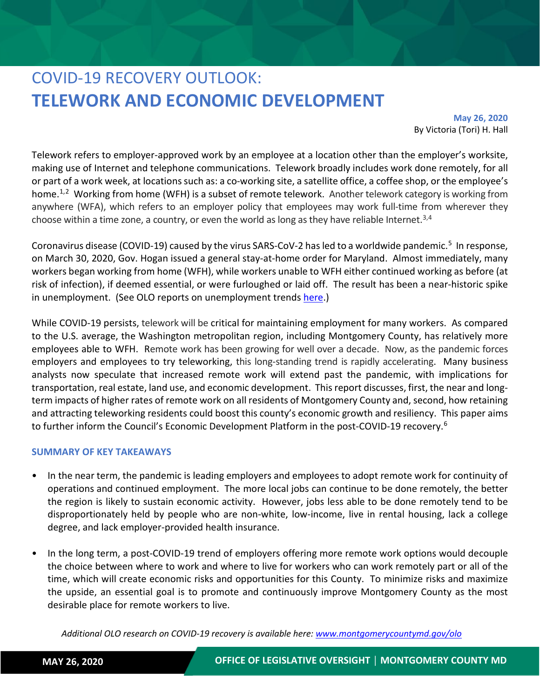# COVID-19 RECOVERY OUTLOOK: **TELEWORK AND ECONOMIC DEVELOPMENT**

**May 26, 2020** By Victoria (Tori) H. Hall

Telework refers to employer-approved work by an employee at a location other than the employer's worksite, making use of Internet and telephone communications. Telework broadly includes work done remotely, for all or part of a work week, at locations such as: a co-working site, a satellite office, a coffee shop, or the employee's home.<sup>[1,](#page-6-0)[2](#page-6-1)</sup> Working from home (WFH) is a subset of remote telework. Another telework category is working from anywhere (WFA), which refers to an employer policy that employees may work full-time from wherever they choose within a time zone, a country, or even the world as long as they have reliable Internet.<sup>[3,](#page-6-2)4</sup>

Coronavirus disease (COVID-19) caused by the virus SARS-CoV-2 has led to a worldwide pandemic.<sup>5</sup> In response, on March 30, 2020, Gov. Hogan issued a general stay-at-home order for Maryland. Almost immediately, many workers began working from home (WFH), while workers unable to WFH either continued working as before (at risk of infection), if deemed essential, or were furloughed or laid off. The result has been a near-historic spike in unemployment. (See OLO reports on unemployment trends [here.](https://www.montgomerycountymd.gov/OLO/Reports/CurrentOLOReports.html))

While COVID-19 persists, telework will be critical for maintaining employment for many workers. As compared to the U.S. average, the Washington metropolitan region, including Montgomery County, has relatively more employees able to WFH. Remote work has been growing for well over a decade. Now, as the pandemic forces employers and employees to try teleworking, this long-standing trend is rapidly accelerating. Many business analysts now speculate that increased remote work will extend past the pandemic, with implications for transportation, real estate, land use, and economic development. This report discusses, first, the near and longterm impacts of higher rates of remote work on all residents of Montgomery County and, second, how retaining and attracting teleworking residents could boost this county's economic growth and resiliency. This paper aims to further inform the Council's Economic Development Platform in the post-COVID-19 recovery.<sup>[6](#page-6-5)</sup>

### **SUMMARY OF KEY TAKEAWAYS**

- In the near term, the pandemic is leading employers and employees to adopt remote work for continuity of operations and continued employment. The more local jobs can continue to be done remotely, the better the region is likely to sustain economic activity. However, jobs less able to be done remotely tend to be disproportionately held by people who are non-white, low-income, live in rental housing, lack a college degree, and lack employer-provided health insurance.
- In the long term, a post-COVID-19 trend of employers offering more remote work options would decouple the choice between where to work and where to live for workers who can work remotely part or all of the time, which will create economic risks and opportunities for this County. To minimize risks and maximize the upside, an essential goal is to promote and continuously improve Montgomery County as the most desirable place for remote workers to live.

*Additional OLO research on COVID-19 recovery is available here: [www.montgomerycountymd.gov/olo](http://www.montgomerycountymd.gov/olo)*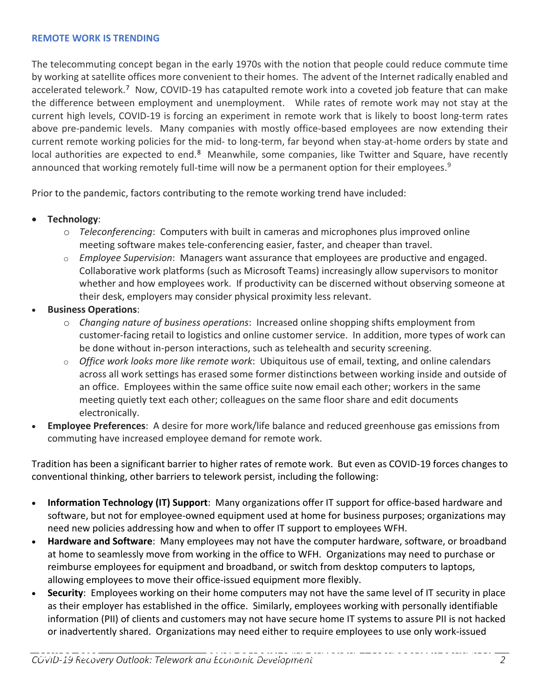### **REMOTE WORK IS TRENDING**

The telecommuting concept began in the early 1970s with the notion that people could reduce commute time by working at satellite offices more convenient to their homes. The advent of the Internet radically enabled and accelerated telework.<sup>[7](#page-6-6)</sup> Now, COVID-19 has catapulted remote work into a coveted job feature that can make the difference between employment and unemployment. While rates of remote work may not stay at the current high levels, COVID-19 is forcing an experiment in remote work that is likely to boost long-term rates above pre-pandemic levels. Many companies with mostly office-based employees are now extending their current remote working policies for the mid- to long-term, far beyond when stay-at-home orders by state and local authorities are expected to end.<sup>[8](#page-6-7)</sup> Meanwhile, some companies, like Twitter and Square, have recently announced that working remotely full-time will now be a permanent option for their employees.<sup>[9](#page-6-8)</sup>

Prior to the pandemic, factors contributing to the remote working trend have included:

- **Technology**:
	- o *Teleconferencing*: Computers with built in cameras and microphones plus improved online meeting software makes tele-conferencing easier, faster, and cheaper than travel.
	- o *Employee Supervision*: Managers want assurance that employees are productive and engaged. Collaborative work platforms (such as Microsoft Teams) increasingly allow supervisors to monitor whether and how employees work. If productivity can be discerned without observing someone at their desk, employers may consider physical proximity less relevant.
- **Business Operations**:
	- o *Changing nature of business operations*: Increased online shopping shifts employment from customer-facing retail to logistics and online customer service. In addition, more types of work can be done without in-person interactions, such as telehealth and security screening.
	- o *Office work looks more like remote work*: Ubiquitous use of email, texting, and online calendars across all work settings has erased some former distinctions between working inside and outside of an office. Employees within the same office suite now email each other; workers in the same meeting quietly text each other; colleagues on the same floor share and edit documents electronically.
- **Employee Preferences**: A desire for more work/life balance and reduced greenhouse gas emissions from commuting have increased employee demand for remote work.

Tradition has been a significant barrier to higher rates of remote work. But even as COVID-19 forces changes to conventional thinking, other barriers to telework persist, including the following:

- **Information Technology (IT) Support**: Many organizations offer IT support for office-based hardware and software, but not for employee-owned equipment used at home for business purposes; organizations may need new policies addressing how and when to offer IT support to employees WFH.
- **Hardware and Software**: Many employees may not have the computer hardware, software, or broadband at home to seamlessly move from working in the office to WFH. Organizations may need to purchase or reimburse employees for equipment and broadband, or switch from desktop computers to laptops, allowing employees to move their office-issued equipment more flexibly.
- **Security**: Employees working on their home computers may not have the same level of IT security in place as their employer has established in the office. Similarly, employees working with personally identifiable information (PII) of clients and customers may not have secure home IT systems to assure PII is not hacked or inadvertently shared. Organizations may need either to require employees to use only work-issued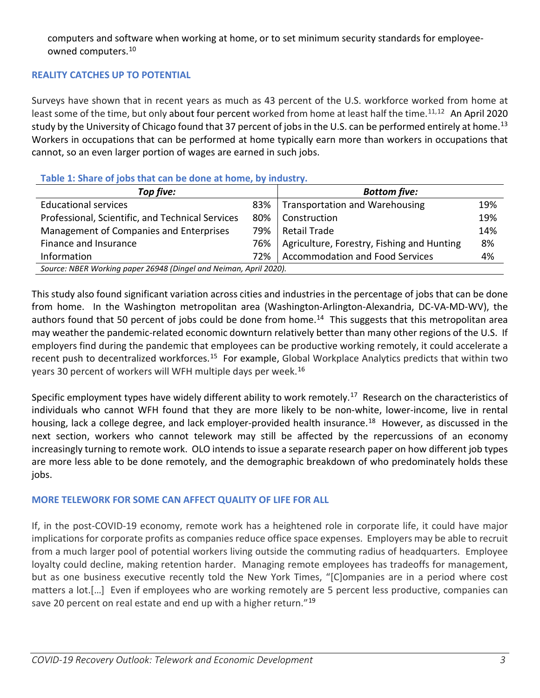computers and software when working at home, or to set minimum security standards for employeeowned computers.[10](#page-6-9)

# **REALITY CATCHES UP TO POTENTIAL**

Surveys have shown that in recent years as much as 43 percent of the U.S. workforce worked from home at least some of the time, but only about four percent worked from home at least half the time.<sup>11,[12](#page-6-11)</sup> An April 2020 study by the University of Chicago found that 37 percent of jobs in the U.S. can be performed entirely at home.<sup>[13](#page-6-12)</sup> Workers in occupations that can be performed at home typically earn more than workers in occupations that cannot, so an even larger portion of wages are earned in such jobs.

| <b>I AVIC 1. JUAL CULLUS LIAL CALLUC QUILE AL HUILLE, BY INQUISLI Y.</b> |     |                                            |     |
|--------------------------------------------------------------------------|-----|--------------------------------------------|-----|
| Top five:                                                                |     | <b>Bottom five:</b>                        |     |
| <b>Educational services</b>                                              | 83% | <b>Transportation and Warehousing</b>      | 19% |
| Professional, Scientific, and Technical Services                         | 80% | Construction                               | 19% |
| Management of Companies and Enterprises                                  | 79% | <b>Retail Trade</b>                        | 14% |
| Finance and Insurance                                                    | 76% | Agriculture, Forestry, Fishing and Hunting | 8%  |
| Information                                                              | 72% | <b>Accommodation and Food Services</b>     | 4%  |
| Source: NBER Working paper 26948 (Dingel and Neiman, April 2020).        |     |                                            |     |

# **Table 1: Share of jobs that can be done at home, by industry.**

This study also found significant variation across cities and industries in the percentage of jobs that can be done from home. In the Washington metropolitan area (Washington-Arlington-Alexandria, DC-VA-MD-WV), the authors found that 50 percent of jobs could be done from home.<sup>[14](#page-6-13)</sup> This suggests that this metropolitan area may weather the pandemic-related economic downturn relatively better than many other regions of the U.S. If employers find during the pandemic that employees can be productive working remotely, it could accelerate a recent push to decentralized workforces.<sup>15</sup> For example, Global Workplace Analytics predicts that within two years 30 percent of workers will WFH multiple days per week.[16](#page-6-15)

Specific employment types have widely different ability to work remotely.<sup>17</sup> Research on the characteristics of individuals who cannot WFH found that they are more likely to be non-white, lower-income, live in rental housing, lack a college degree, and lack employer-provided health insurance.<sup>[18](#page-6-17)</sup> However, as discussed in the next section, workers who cannot telework may still be affected by the repercussions of an economy increasingly turning to remote work. OLO intends to issue a separate research paper on how different job types are more less able to be done remotely, and the demographic breakdown of who predominately holds these jobs.

# **MORE TELEWORK FOR SOME CAN AFFECT QUALITY OF LIFE FOR ALL**

If, in the post-COVID-19 economy, remote work has a heightened role in corporate life, it could have major implications for corporate profits as companies reduce office space expenses. Employers may be able to recruit from a much larger pool of potential workers living outside the commuting radius of headquarters. Employee loyalty could decline, making retention harder. Managing remote employees has tradeoffs for management, but as one business executive recently told the New York Times, "[C]ompanies are in a period where cost matters a lot.[…] Even if employees who are working remotely are 5 percent less productive, companies can save 20 percent on real estate and end up with a higher return."<sup>[19](#page-6-18)</sup>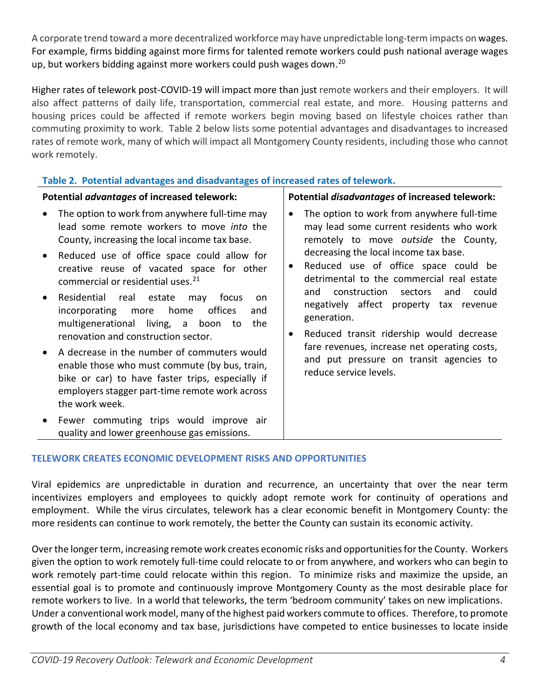A corporate trend toward a more decentralized workforce may have unpredictable long-term impacts on wages. For example, firms bidding against more firms for talented remote workers could push national average wages up, but workers bidding against more workers could push wages down.<sup>[20](#page-6-19)</sup>

Higher rates of telework post-COVID-19 will impact more than just remote workers and their employers. It will also affect patterns of daily life, transportation, commercial real estate, and more. Housing patterns and housing prices could be affected if remote workers begin moving based on lifestyle choices rather than commuting proximity to work. Table 2 below lists some potential advantages and disadvantages to increased rates of remote work, many of which will impact all Montgomery County residents, including those who cannot work remotely.

# **Table 2. Potential advantages and disadvantages of increased rates of telework.**

- The option to work from anywhere full-time may lead some remote workers to move *into* the County, increasing the local income tax base.
- Reduced use of office space could allow for creative reuse of vacated space for other commercial or residential uses. [21](#page-6-20)
- Residential real estate may focus on incorporating more home offices and multigenerational living, a boon to the renovation and construction sector.
- A decrease in the number of commuters would enable those who must commute (by bus, train, bike or car) to have faster trips, especially if employers stagger part-time remote work across the work week.
- Fewer commuting trips would improve air quality and lower greenhouse gas emissions.

## **Potential** *advantages* **of increased telework: Potential** *disadvantages* **of increased telework:**

- The option to work from anywhere full-time may lead some current residents who work remotely to move *outside* the County, decreasing the local income tax base.
- Reduced use of office space could be detrimental to the commercial real estate and construction sectors and could negatively affect property tax revenue generation.
- Reduced transit ridership would decrease fare revenues, increase net operating costs, and put pressure on transit agencies to reduce service levels.

# **TELEWORK CREATES ECONOMIC DEVELOPMENT RISKS AND OPPORTUNITIES**

Viral epidemics are unpredictable in duration and recurrence, an uncertainty that over the near term incentivizes employers and employees to quickly adopt remote work for continuity of operations and employment. While the virus circulates, telework has a clear economic benefit in Montgomery County: the more residents can continue to work remotely, the better the County can sustain its economic activity.

Over the longer term, increasing remote work creates economic risks and opportunities for the County. Workers given the option to work remotely full-time could relocate to or from anywhere, and workers who can begin to work remotely part-time could relocate within this region. To minimize risks and maximize the upside, an essential goal is to promote and continuously improve Montgomery County as the most desirable place for remote workers to live. In a world that teleworks, the term 'bedroom community' takes on new implications. Under a conventional work model, many of the highest paid workers commute to offices. Therefore, to promote growth of the local economy and tax base, jurisdictions have competed to entice businesses to locate inside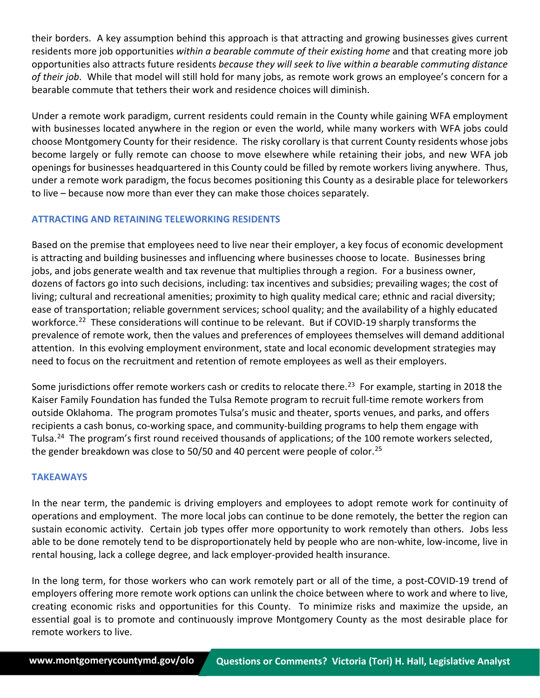their borders. A key assumption behind this approach is that attracting and growing businesses gives current residents more job opportunities *within a bearable commute of their existing home* and that creating more job opportunities also attracts future residents *because they will seek to live within a bearable commuting distance of their job*. While that model will still hold for many jobs, as remote work grows an employee's concern for a bearable commute that tethers their work and residence choices will diminish.

Under a remote work paradigm, current residents could remain in the County while gaining WFA employment with businesses located anywhere in the region or even the world, while many workers with WFA jobs could choose Montgomery County for their residence. The risky corollary is that current County residents whose jobs become largely or fully remote can choose to move elsewhere while retaining their jobs, and new WFA job openings for businesses headquartered in this County could be filled by remote workers living anywhere. Thus, under a remote work paradigm, the focus becomes positioning this County as a desirable place for teleworkers to live – because now more than ever they can make those choices separately.

## **ATTRACTING AND RETAINING TELEWORKING RESIDENTS**

Based on the premise that employees need to live near their employer, a key focus of economic development is attracting and building businesses and influencing where businesses choose to locate. Businesses bring jobs, and jobs generate wealth and tax revenue that multiplies through a region. For a business owner, dozens of factors go into such decisions, including: tax incentives and subsidies; prevailing wages; the cost of living; cultural and recreational amenities; proximity to high quality medical care; ethnic and racial diversity; ease of transportation; reliable government services; school quality; and the availability of a highly educated workforce.<sup>[22](#page-6-21)</sup> These considerations will continue to be relevant. But if COVID-19 sharply transforms the prevalence of remote work, then the values and preferences of employees themselves will demand additional attention. In this evolving employment environment, state and local economic development strategies may need to focus on the recruitment and retention of remote employees as well as their employers.

Some jurisdictions offer remote workers cash or credits to relocate there.<sup>23</sup> For example, starting in 2018 the Kaiser Family Foundation has funded the Tulsa Remote program to recruit full-time remote workers from outside Oklahoma. The program promotes Tulsa's music and theater, sports venues, and parks, and offers recipients a cash bonus, co-working space, and community-building programs to help them engage with Tulsa.[24](#page-6-23) The program's first round received thousands of applications; of the 100 remote workers selected, the gender breakdown was close to 50/50 and 40 percent were people of color.<sup>[25](#page-6-24)</sup>

### **TAKEAWAYS**

In the near term, the pandemic is driving employers and employees to adopt remote work for continuity of operations and employment. The more local jobs can continue to be done remotely, the better the region can sustain economic activity. Certain job types offer more opportunity to work remotely than others. Jobs less able to be done remotely tend to be disproportionately held by people who are non-white, low-income, live in rental housing, lack a college degree, and lack employer-provided health insurance.

In the long term, for those workers who can work remotely part or all of the time, a post-COVID-19 trend of employers offering more remote work options can unlink the choice between where to work and where to live, creating economic risks and opportunities for this County. To minimize risks and maximize the upside, an essential goal is to promote and continuously improve Montgomery County as the most desirable place for remote workers to live.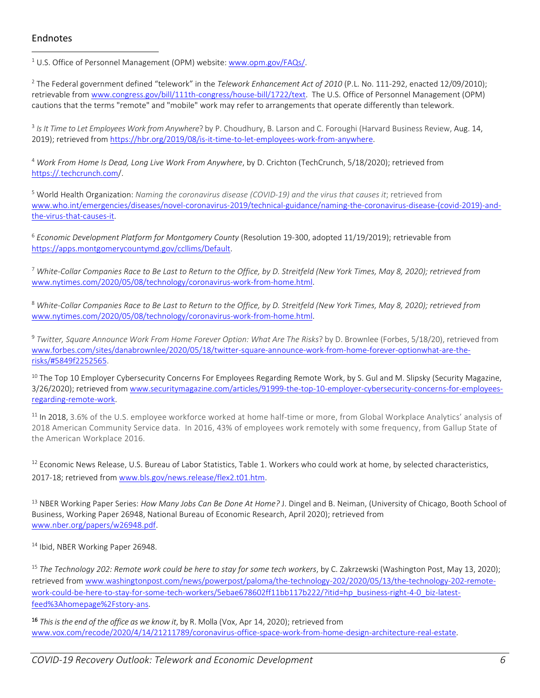### Endnotes

<sup>1</sup> U.S. Office of Personnel Management (OPM) website[: www.opm.gov/FAQs/.](http://www.opm.gov/FAQs/)

<sup>2</sup> The Federal government defined "telework" in the *Telework Enhancement Act of 2010* (P.L. No. 111-292, enacted 12/09/2010); retrievable from [www.congress.gov/bill/111th-congress/house-bill/1722/text.](http://www.congress.gov/bill/111th-congress/house-bill/1722/text) The U.S. Office of Personnel Management (OPM) cautions that the terms "remote" and "mobile" work may refer to arrangements that operate differently than telework.

<sup>3</sup> *Is It Time to Let Employees Work from Anywhere*? by P. Choudhury, B. Larson and C. Foroughi (Harvard Business Review, Aug. 14, 2019); retrieved from [https://hbr.org/2019/08/is-it-time-to-let-employees-work-from-anywhere.](https://hbr.org/2019/08/is-it-time-to-let-employees-work-from-anywhere)

<sup>4</sup> *Work From Home Is Dead, Long Live Work From Anywhere*, by D. Crichton (TechCrunch, 5/18/2020); retrieved from <https://.techcrunch.com/>.

<sup>5</sup> World Health Organization: *Naming the coronavirus disease (COVID-19) and the virus that causes it*; retrieved from [www.who.int/emergencies/diseases/novel-coronavirus-2019/technical-guidance/naming-the-coronavirus-disease-\(covid-2019\)-and](http://www.who.int/emergencies/diseases/novel-coronavirus-2019/technical-guidance/naming-the-coronavirus-disease-(covid-2019)-and-the-virus-that-causes-it)[the-virus-that-causes-it.](http://www.who.int/emergencies/diseases/novel-coronavirus-2019/technical-guidance/naming-the-coronavirus-disease-(covid-2019)-and-the-virus-that-causes-it)

<sup>6</sup> *Economic Development Platform for Montgomery County* (Resolution 19-300, adopted 11/19/2019); retrievable from [https://apps.montgomerycountymd.gov/ccllims/Default.](https://apps.montgomerycountymd.gov/ccllims/Default)

<sup>7</sup> *White-Collar Companies Race to Be Last to Return to the Office, by D. Streitfeld (New York Times, May 8, 2020); retrieved from*  [www.nytimes.com/2020/05/08/technology/coronavirus-work-from-home.html.](http://www.nytimes.com/2020/05/08/technology/coronavirus-work-from-home.html)

<sup>8</sup> *White-Collar Companies Race to Be Last to Return to the Office, by D. Streitfeld (New York Times, May 8, 2020); retrieved from*  [www.nytimes.com/2020/05/08/technology/coronavirus-work-from-home.html.](http://www.nytimes.com/2020/05/08/technology/coronavirus-work-from-home.html)

<sup>9</sup> *Twitter, Square Announce Work From Home Forever Option: What Are The Risks*? by D. Brownlee (Forbes, 5/18/20), retrieved from [www.forbes.com/sites/danabrownlee/2020/05/18/twitter-square-announce-work-from-home-forever-optionwhat-are-the](http://www.forbes.com/sites/danabrownlee/2020/05/18/twitter-square-announce-work-from-home-forever-optionwhat-are-the-risks/#5849f2252565)[risks/#5849f2252565.](http://www.forbes.com/sites/danabrownlee/2020/05/18/twitter-square-announce-work-from-home-forever-optionwhat-are-the-risks/#5849f2252565)

<sup>10</sup> The Top 10 Employer Cybersecurity Concerns For Employees Regarding Remote Work, by S. Gul and M. Slipsky (Security Magazine, 3/26/2020); retrieved fro[m www.securitymagazine.com/articles/91999-the-top-10-employer-cybersecurity-concerns-for-employees](http://www.securitymagazine.com/articles/91999-the-top-10-employer-cybersecurity-concerns-for-employees-regarding-remote-work)[regarding-remote-work.](http://www.securitymagazine.com/articles/91999-the-top-10-employer-cybersecurity-concerns-for-employees-regarding-remote-work)

<sup>11</sup> In 2018, 3.6% of the U.S. employee workforce worked at home half-time or more, from Global Workplace Analytics' analysis of 2018 American Community Service data. In 2016, 43% of employees work remotely with some frequency, from Gallup State of the American Workplace 2016.

<sup>12</sup> Economic News Release, U.S. Bureau of Labor Statistics, Table 1. Workers who could work at home, by selected characteristics, 2017-18; retrieved from [www.bls.gov/news.release/flex2.t01.htm.](http://www.bls.gov/news.release/flex2.t01.htm)

<sup>13</sup> NBER Working Paper Series: *How Many Jobs Can Be Done At Home?* J. Dingel and B. Neiman, (University of Chicago, Booth School of Business, Working Paper 26948, National Bureau of Economic Research, April 2020); retrieved from [www.nber.org/papers/w26948.pdf.](http://www.nber.org/papers/w26948.pdf)

<sup>14</sup> Ibid, NBER Working Paper 26948.

<sup>15</sup> *The Technology 202: Remote work could be here to stay for some tech workers*, by C. Zakrzewski (Washington Post, May 13, 2020); retrieved from [www.washingtonpost.com/news/powerpost/paloma/the-technology-202/2020/05/13/the-technology-202-remote](http://www.washingtonpost.com/news/powerpost/paloma/the-technology-202/2020/05/13/the-technology-202-remote-work-could-be-here-to-stay-for-some-tech-workers/5ebae678602ff11bb117b222/?itid=hp_business-right-4-0_biz-latest-feed%3Ahomepage%2Fstory-ans)[work-could-be-here-to-stay-for-some-tech-workers/5ebae678602ff11bb117b222/?itid=hp\\_business-right-4-0\\_biz-latest](http://www.washingtonpost.com/news/powerpost/paloma/the-technology-202/2020/05/13/the-technology-202-remote-work-could-be-here-to-stay-for-some-tech-workers/5ebae678602ff11bb117b222/?itid=hp_business-right-4-0_biz-latest-feed%3Ahomepage%2Fstory-ans)[feed%3Ahomepage%2Fstory-ans.](http://www.washingtonpost.com/news/powerpost/paloma/the-technology-202/2020/05/13/the-technology-202-remote-work-could-be-here-to-stay-for-some-tech-workers/5ebae678602ff11bb117b222/?itid=hp_business-right-4-0_biz-latest-feed%3Ahomepage%2Fstory-ans)

16 *This is the end of the office as we know it*, by R. Molla (Vox, Apr 14, 2020); retrieved from [www.vox.com/recode/2020/4/14/21211789/coronavirus-office-space-work-from-home-design-architecture-real-estate.](http://www.vox.com/recode/2020/4/14/21211789/coronavirus-office-space-work-from-home-design-architecture-real-estate)